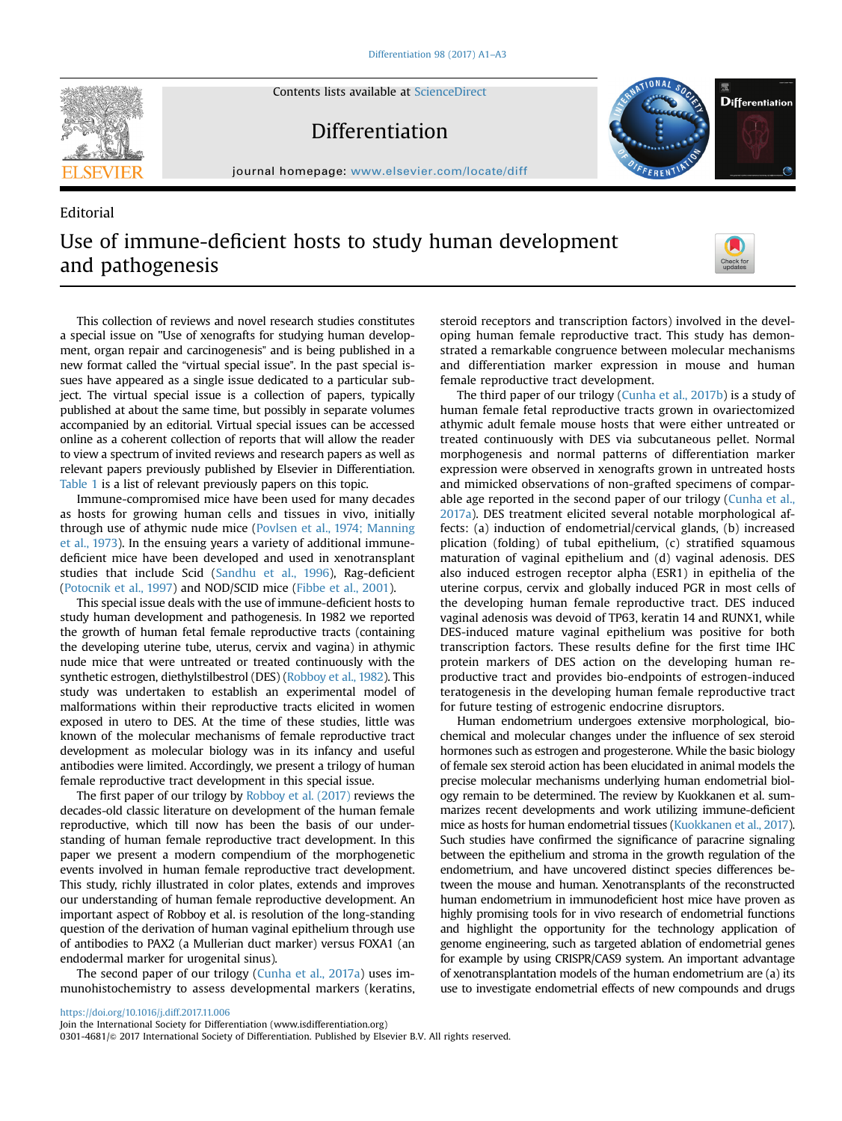Contents lists available at [ScienceDirect](www.sciencedirect.com/science/journal/03014681)



Editorial

Differentiation



journal homepage: <www.elsevier.com/locate/diff>

## Use of immune-deficient hosts to study human development and pathogenesis



This collection of reviews and novel research studies constitutes a special issue on "Use of xenografts for studying human development, organ repair and carcinogenesis" and is being published in a new format called the "virtual special issue". In the past special issues have appeared as a single issue dedicated to a particular subject. The virtual special issue is a collection of papers, typically published at about the same time, but possibly in separate volumes accompanied by an editorial. Virtual special issues can be accessed online as a coherent collection of reports that will allow the reader to view a spectrum of invited reviews and research papers as well as relevant papers previously published by Elsevier in Differentiation. [Table 1](#page-1-0) is a list of relevant previously papers on this topic.

Immune-compromised mice have been used for many decades as hosts for growing human cells and tissues in vivo, initially through use of athymic nude mice [\(Povlsen et al., 1974; Manning](#page-2-0) [et al., 1973](#page-2-0)). In the ensuing years a variety of additional immunedeficient mice have been developed and used in xenotransplant studies that include Scid ([Sandhu et al., 1996](#page-2-0)), Rag-deficient ([Potocnik et al., 1997](#page-2-0)) and NOD/SCID mice ([Fibbe et al., 2001](#page-2-0)).

This special issue deals with the use of immune-deficient hosts to study human development and pathogenesis. In 1982 we reported the growth of human fetal female reproductive tracts (containing the developing uterine tube, uterus, cervix and vagina) in athymic nude mice that were untreated or treated continuously with the synthetic estrogen, diethylstilbestrol (DES) [\(Robboy et al., 1982](#page-2-0)). This study was undertaken to establish an experimental model of malformations within their reproductive tracts elicited in women exposed in utero to DES. At the time of these studies, little was known of the molecular mechanisms of female reproductive tract development as molecular biology was in its infancy and useful antibodies were limited. Accordingly, we present a trilogy of human female reproductive tract development in this special issue.

The first paper of our trilogy by [Robboy et al. \(2017\)](#page-2-0) reviews the decades-old classic literature on development of the human female reproductive, which till now has been the basis of our understanding of human female reproductive tract development. In this paper we present a modern compendium of the morphogenetic events involved in human female reproductive tract development. This study, richly illustrated in color plates, extends and improves our understanding of human female reproductive development. An important aspect of Robboy et al. is resolution of the long-standing question of the derivation of human vaginal epithelium through use of antibodies to PAX2 (a Mullerian duct marker) versus FOXA1 (an endodermal marker for urogenital sinus).

The second paper of our trilogy [\(Cunha et al., 2017a\)](#page-2-0) uses immunohistochemistry to assess developmental markers (keratins, steroid receptors and transcription factors) involved in the developing human female reproductive tract. This study has demonstrated a remarkable congruence between molecular mechanisms and differentiation marker expression in mouse and human female reproductive tract development.

The third paper of our trilogy [\(Cunha et al., 2017b\)](#page-2-0) is a study of human female fetal reproductive tracts grown in ovariectomized athymic adult female mouse hosts that were either untreated or treated continuously with DES via subcutaneous pellet. Normal morphogenesis and normal patterns of differentiation marker expression were observed in xenografts grown in untreated hosts and mimicked observations of non-grafted specimens of compar-able age reported in the second paper of our trilogy [\(Cunha et al.,](#page-2-0) [2017a\)](#page-2-0). DES treatment elicited several notable morphological affects: (a) induction of endometrial/cervical glands, (b) increased plication (folding) of tubal epithelium, (c) stratified squamous maturation of vaginal epithelium and (d) vaginal adenosis. DES also induced estrogen receptor alpha (ESR1) in epithelia of the uterine corpus, cervix and globally induced PGR in most cells of the developing human female reproductive tract. DES induced vaginal adenosis was devoid of TP63, keratin 14 and RUNX1, while DES-induced mature vaginal epithelium was positive for both transcription factors. These results define for the first time IHC protein markers of DES action on the developing human reproductive tract and provides bio-endpoints of estrogen-induced teratogenesis in the developing human female reproductive tract for future testing of estrogenic endocrine disruptors.

Human endometrium undergoes extensive morphological, biochemical and molecular changes under the influence of sex steroid hormones such as estrogen and progesterone. While the basic biology of female sex steroid action has been elucidated in animal models the precise molecular mechanisms underlying human endometrial biology remain to be determined. The review by Kuokkanen et al. summarizes recent developments and work utilizing immune-deficient mice as hosts for human endometrial tissues [\(Kuokkanen et al., 2017\)](#page-2-0). Such studies have confirmed the significance of paracrine signaling between the epithelium and stroma in the growth regulation of the endometrium, and have uncovered distinct species differences between the mouse and human. Xenotransplants of the reconstructed human endometrium in immunodeficient host mice have proven as highly promising tools for in vivo research of endometrial functions and highlight the opportunity for the technology application of genome engineering, such as targeted ablation of endometrial genes for example by using CRISPR/CAS9 system. An important advantage of xenotransplantation models of the human endometrium are (a) its use to investigate endometrial effects of new compounds and drugs

Join the International Society for Differentiation (www.isdifferentiation.org) 0301-4681/ $\circ$  2017 International Society of Differentiation. Published by Elsevier B.V. All rights reserved.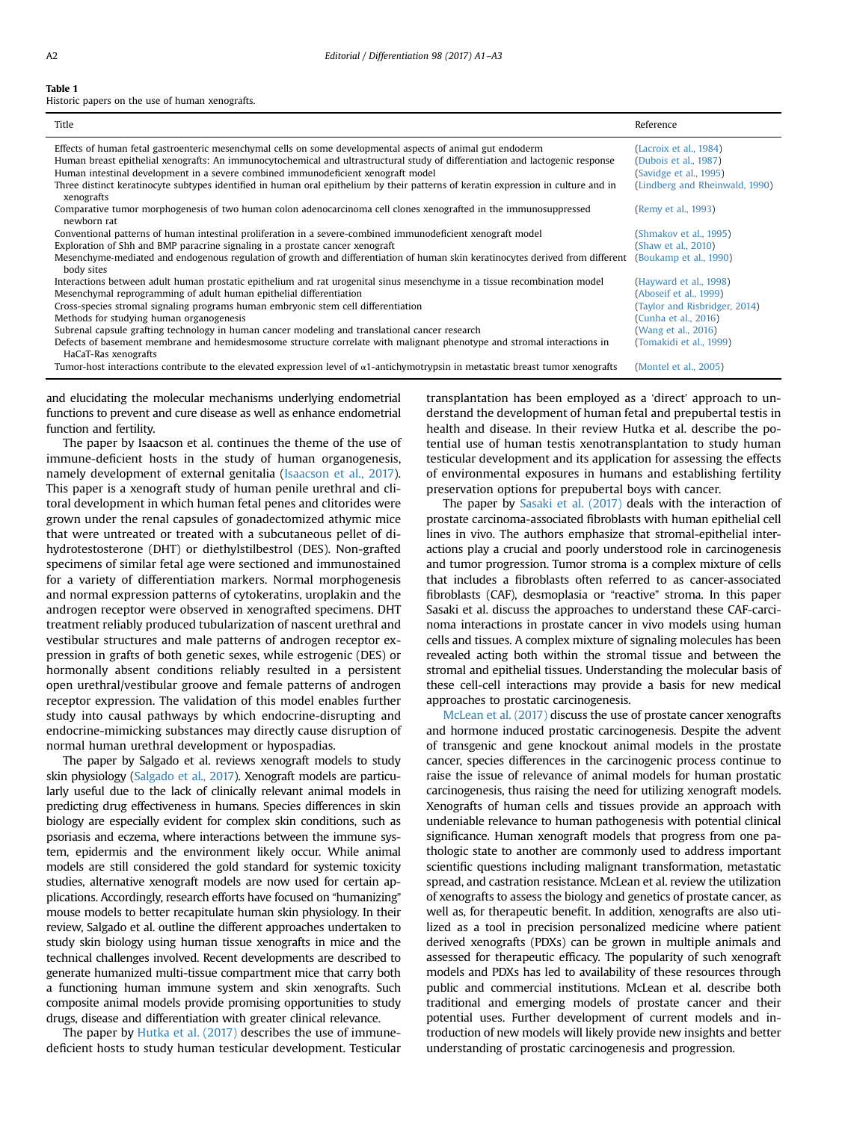## <span id="page-1-0"></span>Table 1

Historic papers on the use of human xenografts.

| Title                                                                                                                                                                                                                                                                                                                                                                                                                                                                                  | Reference                                                                                                   |
|----------------------------------------------------------------------------------------------------------------------------------------------------------------------------------------------------------------------------------------------------------------------------------------------------------------------------------------------------------------------------------------------------------------------------------------------------------------------------------------|-------------------------------------------------------------------------------------------------------------|
| Effects of human fetal gastroenteric mesenchymal cells on some developmental aspects of animal gut endoderm<br>Human breast epithelial xenografts: An immunocytochemical and ultrastructural study of differentiation and lactogenic response<br>Human intestinal development in a severe combined immunodeficient xenograft model<br>Three distinct keratinocyte subtypes identified in human oral epithelium by their patterns of keratin expression in culture and in<br>xenografts | (Lacroix et al., 1984)<br>(Dubois et al., 1987)<br>(Savidge et al., 1995)<br>(Lindberg and Rheinwald, 1990) |
| Comparative tumor morphogenesis of two human colon adenocarcinoma cell clones xenografted in the immunosuppressed<br>newborn rat                                                                                                                                                                                                                                                                                                                                                       | (Remy et al., 1993)                                                                                         |
| Conventional patterns of human intestinal proliferation in a severe-combined immunodeficient xenograft model<br>Exploration of Shh and BMP paracrine signaling in a prostate cancer xenograft                                                                                                                                                                                                                                                                                          | (Shmakov et al., 1995)<br>(Shaw et al., 2010)                                                               |
| Mesenchyme-mediated and endogenous regulation of growth and differentiation of human skin keratinocytes derived from different<br>body sites                                                                                                                                                                                                                                                                                                                                           | (Boukamp et al., 1990)                                                                                      |
| Interactions between adult human prostatic epithelium and rat urogenital sinus mesenchyme in a tissue recombination model                                                                                                                                                                                                                                                                                                                                                              | (Hayward et al., 1998)                                                                                      |
| Mesenchymal reprogramming of adult human epithelial differentiation                                                                                                                                                                                                                                                                                                                                                                                                                    | (Aboseif et al., 1999)                                                                                      |
| Cross-species stromal signaling programs human embryonic stem cell differentiation<br>Methods for studying human organogenesis                                                                                                                                                                                                                                                                                                                                                         | (Taylor and Risbridger, 2014)<br>(Cunha et al., 2016)                                                       |
| Subrenal capsule grafting technology in human cancer modeling and translational cancer research                                                                                                                                                                                                                                                                                                                                                                                        | (Wang et al., 2016)                                                                                         |
| Defects of basement membrane and hemidesmosome structure correlate with malignant phenotype and stromal interactions in<br>HaCaT-Ras xenografts                                                                                                                                                                                                                                                                                                                                        | (Tomakidi et al., 1999)                                                                                     |
| Tumor-host interactions contribute to the elevated expression level of $\alpha$ 1-antichymotrypsin in metastatic breast tumor xenografts                                                                                                                                                                                                                                                                                                                                               | (Montel et al., 2005)                                                                                       |

and elucidating the molecular mechanisms underlying endometrial functions to prevent and cure disease as well as enhance endometrial function and fertility.

The paper by Isaacson et al. continues the theme of the use of immune-deficient hosts in the study of human organogenesis, namely development of external genitalia [\(Isaacson et al., 2017\)](#page-2-0). This paper is a xenograft study of human penile urethral and clitoral development in which human fetal penes and clitorides were grown under the renal capsules of gonadectomized athymic mice that were untreated or treated with a subcutaneous pellet of dihydrotestosterone (DHT) or diethylstilbestrol (DES). Non-grafted specimens of similar fetal age were sectioned and immunostained for a variety of differentiation markers. Normal morphogenesis and normal expression patterns of cytokeratins, uroplakin and the androgen receptor were observed in xenografted specimens. DHT treatment reliably produced tubularization of nascent urethral and vestibular structures and male patterns of androgen receptor expression in grafts of both genetic sexes, while estrogenic (DES) or hormonally absent conditions reliably resulted in a persistent open urethral/vestibular groove and female patterns of androgen receptor expression. The validation of this model enables further study into causal pathways by which endocrine-disrupting and endocrine-mimicking substances may directly cause disruption of normal human urethral development or hypospadias.

The paper by Salgado et al. reviews xenograft models to study skin physiology [\(Salgado et al., 2017\)](#page-2-0). Xenograft models are particularly useful due to the lack of clinically relevant animal models in predicting drug effectiveness in humans. Species differences in skin biology are especially evident for complex skin conditions, such as psoriasis and eczema, where interactions between the immune system, epidermis and the environment likely occur. While animal models are still considered the gold standard for systemic toxicity studies, alternative xenograft models are now used for certain applications. Accordingly, research efforts have focused on "humanizing" mouse models to better recapitulate human skin physiology. In their review, Salgado et al. outline the different approaches undertaken to study skin biology using human tissue xenografts in mice and the technical challenges involved. Recent developments are described to generate humanized multi-tissue compartment mice that carry both a functioning human immune system and skin xenografts. Such composite animal models provide promising opportunities to study drugs, disease and differentiation with greater clinical relevance.

The paper by [Hutka et al. \(2017\)](#page-2-0) describes the use of immunedeficient hosts to study human testicular development. Testicular transplantation has been employed as a 'direct' approach to understand the development of human fetal and prepubertal testis in health and disease. In their review Hutka et al. describe the potential use of human testis xenotransplantation to study human testicular development and its application for assessing the effects of environmental exposures in humans and establishing fertility preservation options for prepubertal boys with cancer.

The paper by [Sasaki et al. \(2017\)](#page-2-0) deals with the interaction of prostate carcinoma-associated fibroblasts with human epithelial cell lines in vivo. The authors emphasize that stromal-epithelial interactions play a crucial and poorly understood role in carcinogenesis and tumor progression. Tumor stroma is a complex mixture of cells that includes a fibroblasts often referred to as cancer-associated fibroblasts (CAF), desmoplasia or "reactive" stroma. In this paper Sasaki et al. discuss the approaches to understand these CAF-carcinoma interactions in prostate cancer in vivo models using human cells and tissues. A complex mixture of signaling molecules has been revealed acting both within the stromal tissue and between the stromal and epithelial tissues. Understanding the molecular basis of these cell-cell interactions may provide a basis for new medical approaches to prostatic carcinogenesis.

[McLean et al. \(2017\)](#page-2-0) discuss the use of prostate cancer xenografts and hormone induced prostatic carcinogenesis. Despite the advent of transgenic and gene knockout animal models in the prostate cancer, species differences in the carcinogenic process continue to raise the issue of relevance of animal models for human prostatic carcinogenesis, thus raising the need for utilizing xenograft models. Xenografts of human cells and tissues provide an approach with undeniable relevance to human pathogenesis with potential clinical significance. Human xenograft models that progress from one pathologic state to another are commonly used to address important scientific questions including malignant transformation, metastatic spread, and castration resistance. McLean et al. review the utilization of xenografts to assess the biology and genetics of prostate cancer, as well as, for therapeutic benefit. In addition, xenografts are also utilized as a tool in precision personalized medicine where patient derived xenografts (PDXs) can be grown in multiple animals and assessed for therapeutic efficacy. The popularity of such xenograft models and PDXs has led to availability of these resources through public and commercial institutions. McLean et al. describe both traditional and emerging models of prostate cancer and their potential uses. Further development of current models and introduction of new models will likely provide new insights and better understanding of prostatic carcinogenesis and progression.